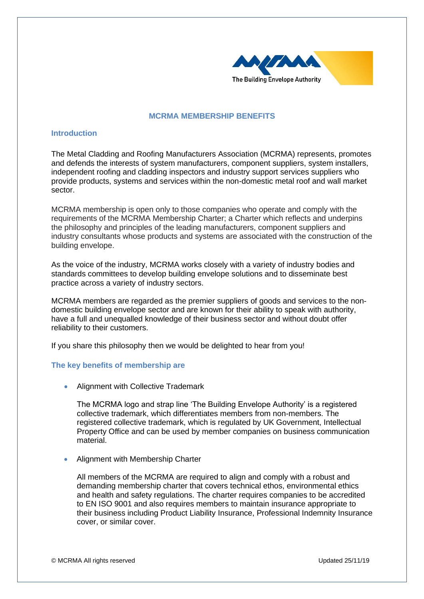

## **MCRMA MEMBERSHIP BENEFITS**

## **Introduction**

The Metal Cladding and Roofing Manufacturers Association (MCRMA) represents, promotes and defends the interests of system manufacturers, component suppliers, system installers, independent roofing and cladding inspectors and industry support services suppliers who provide products, systems and services within the non-domestic metal roof and wall market sector.

MCRMA membership is open only to those companies who operate and comply with the requirements of the MCRMA Membership Charter; a Charter which reflects and underpins the philosophy and principles of the leading manufacturers, component suppliers and industry consultants whose products and systems are associated with the construction of the building envelope.

As the voice of the industry, MCRMA works closely with a variety of industry bodies and standards committees to develop building envelope solutions and to disseminate best practice across a variety of industry sectors.

MCRMA members are regarded as the premier suppliers of goods and services to the nondomestic building envelope sector and are known for their ability to speak with authority, have a full and unequalled knowledge of their business sector and without doubt offer reliability to their customers.

If you share this philosophy then we would be delighted to hear from you!

#### **The key benefits of membership are**

• Alignment with Collective Trademark

The MCRMA logo and strap line 'The Building Envelope Authority' is a registered collective trademark, which differentiates members from non-members. The registered collective trademark, which is regulated by UK Government, Intellectual Property Office and can be used by member companies on business communication material.

• Alignment with Membership Charter

All members of the MCRMA are required to align and comply with a robust and demanding membership charter that covers technical ethos, environmental ethics and health and safety regulations. The charter requires companies to be accredited to EN ISO 9001 and also requires members to maintain insurance appropriate to their business including Product Liability Insurance, Professional Indemnity Insurance cover, or similar cover.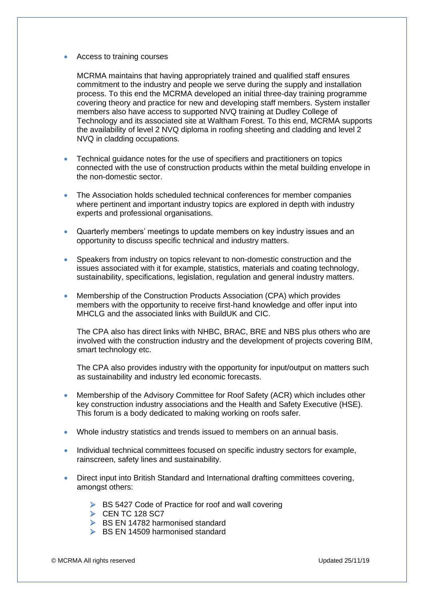## • Access to training courses

MCRMA maintains that having appropriately trained and qualified staff ensures commitment to the industry and people we serve during the supply and installation process. To this end the MCRMA developed an initial three-day training programme covering theory and practice for new and developing staff members. System installer members also have access to supported NVQ training at Dudley College of Technology and its associated site at Waltham Forest. To this end, MCRMA supports the availability of level 2 NVQ diploma in roofing sheeting and cladding and level 2 NVQ in cladding occupations.

- Technical guidance notes for the use of specifiers and practitioners on topics connected with the use of construction products within the metal building envelope in the non-domestic sector.
- The Association holds scheduled technical conferences for member companies where pertinent and important industry topics are explored in depth with industry experts and professional organisations.
- Quarterly members' meetings to update members on key industry issues and an opportunity to discuss specific technical and industry matters.
- Speakers from industry on topics relevant to non-domestic construction and the issues associated with it for example, statistics, materials and coating technology, sustainability, specifications, legislation, regulation and general industry matters.
- Membership of the Construction Products Association (CPA) which provides members with the opportunity to receive first-hand knowledge and offer input into MHCLG and the associated links with BuildUK and CIC.

The CPA also has direct links with NHBC, BRAC, BRE and NBS plus others who are involved with the construction industry and the development of projects covering BIM, smart technology etc.

The CPA also provides industry with the opportunity for input/output on matters such as sustainability and industry led economic forecasts.

- Membership of the Advisory Committee for Roof Safety (ACR) which includes other key construction industry associations and the Health and Safety Executive (HSE). This forum is a body dedicated to making working on roofs safer.
- Whole industry statistics and trends issued to members on an annual basis.
- Individual technical committees focused on specific industry sectors for example, rainscreen, safety lines and sustainability.
- Direct input into British Standard and International drafting committees covering, amongst others:
	- ➢ BS 5427 Code of Practice for roof and wall covering
	- $\triangleright$  CEN TC 128 SC7
	- ➢ BS EN 14782 harmonised standard
	- ➢ BS EN 14509 harmonised standard